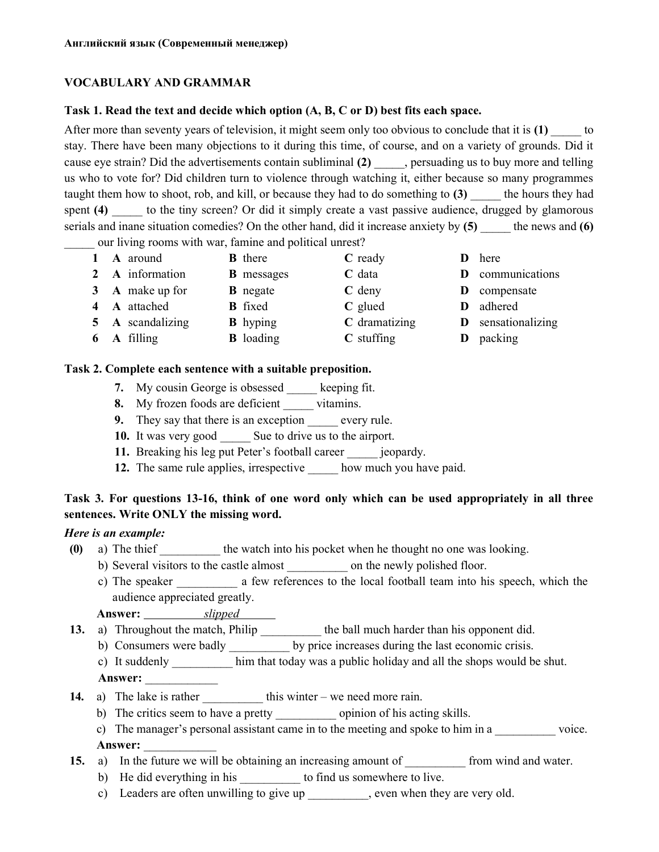## VOCABULARY AND GRAMMAR

#### Task 1. Read the text and decide which option (A, B, C or D) best fits each space.

After more than seventy years of television, it might seem only too obvious to conclude that it is  $(1)$  to stay. There have been many objections to it during this time, of course, and on a variety of grounds. Did it cause eye strain? Did the advertisements contain subliminal (2) example is to buy more and telling us who to vote for? Did children turn to violence through watching it, either because so many programmes taught them how to shoot, rob, and kill, or because they had to do something to  $(3)$  the hours they had spent (4) to the tiny screen? Or did it simply create a vast passive audience, drugged by glamorous serials and inane situation comedies? On the other hand, did it increase anxiety by  $(5)$  the news and  $(6)$ 

our living rooms with war, famine and political unrest?

| 1 A around         | <b>B</b> there    | $C$ ready     | <b>D</b> here             |
|--------------------|-------------------|---------------|---------------------------|
| 2 A information    | <b>B</b> messages | $C$ data      | <b>D</b> communications   |
| 3 A make up for    | <b>B</b> negate   | $C$ deny      | <b>D</b> compensate       |
| 4 A attached       | <b>B</b> fixed    | $C$ glued     | D adhered                 |
| 5 A scandalizing   | <b>B</b> hyping   | C dramatizing | <b>D</b> sensationalizing |
| <b>6 A</b> filling | <b>B</b> loading  | $C$ stuffing  | D packing                 |

#### Task 2. Complete each sentence with a suitable preposition.

- 7. My cousin George is obsessed keeping fit.
- 8. My frozen foods are deficient vitamins.
- 9. They say that there is an exception every rule.
- 10. It was very good Sue to drive us to the airport.
- 11. Breaking his leg put Peter's football career ieopardy.
- 12. The same rule applies, irrespective how much you have paid.

# Task 3. For questions 13-16, think of one word only which can be used appropriately in all three sentences. Write ONLY the missing word.

## Here is an example:

- (0) a) The thief the watch into his pocket when he thought no one was looking.
	- b) Several visitors to the castle almost on the newly polished floor.
	- c) The speaker a few references to the local football team into his speech, which the audience appreciated greatly.

# Answer: <u>Slipped</u>

- 13. a) Throughout the match, Philip \_\_\_\_\_\_\_\_\_\_\_ the ball much harder than his opponent did.
	- b) Consumers were badly by price increases during the last economic crisis.
	- c) It suddenly \_\_\_\_\_\_\_\_\_\_ him that today was a public holiday and all the shops would be shut.

Answer:

- 14. a) The lake is rather this winter we need more rain.
	- b) The critics seem to have a pretty \_\_\_\_\_\_\_\_\_\_ opinion of his acting skills.
	- c) The manager's personal assistant came in to the meeting and spoke to him in a voice.

## Answer:

- 15. a) In the future we will be obtaining an increasing amount of from wind and water.
	- b) He did everything in his \_\_\_\_\_\_\_\_\_\_\_ to find us somewhere to live.
	- c) Leaders are often unwilling to give up , even when they are very old.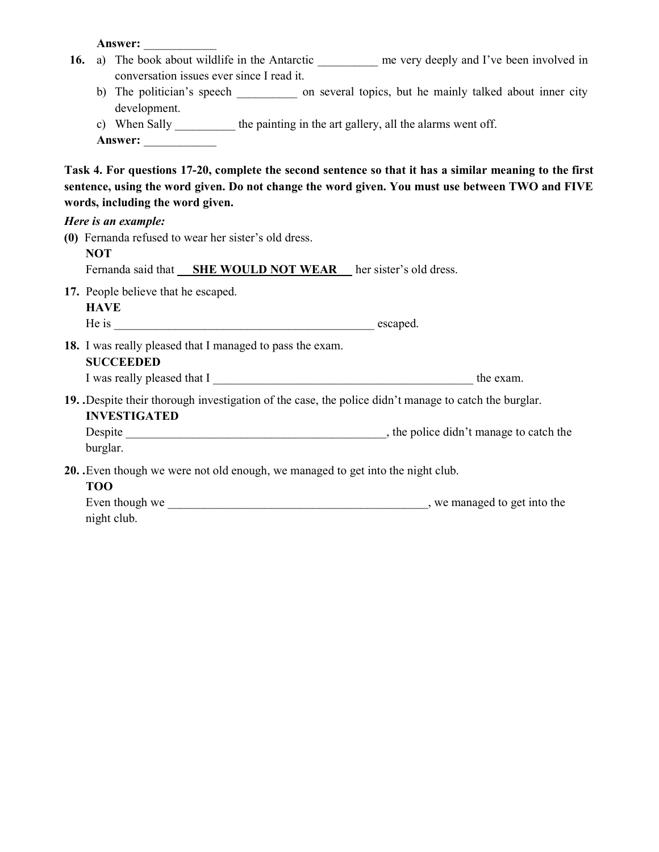Answer:

|  | 16. a) The book about wildlife in the Antarctic __________ me very deeply and I've been involved in<br>conversation issues ever since I read it. |                                                                                                                             |  |  |  |                                                                                                                                                                                                            |  |  |  |  |  |  |
|--|--------------------------------------------------------------------------------------------------------------------------------------------------|-----------------------------------------------------------------------------------------------------------------------------|--|--|--|------------------------------------------------------------------------------------------------------------------------------------------------------------------------------------------------------------|--|--|--|--|--|--|
|  |                                                                                                                                                  | development.                                                                                                                |  |  |  | b) The politician's speech _____________ on several topics, but he mainly talked about inner city                                                                                                          |  |  |  |  |  |  |
|  |                                                                                                                                                  | c) When Sally __________ the painting in the art gallery, all the alarms went off.                                          |  |  |  |                                                                                                                                                                                                            |  |  |  |  |  |  |
|  |                                                                                                                                                  | Answer:                                                                                                                     |  |  |  |                                                                                                                                                                                                            |  |  |  |  |  |  |
|  |                                                                                                                                                  | words, including the word given.                                                                                            |  |  |  | Task 4. For questions 17-20, complete the second sentence so that it has a similar meaning to the first<br>sentence, using the word given. Do not change the word given. You must use between TWO and FIVE |  |  |  |  |  |  |
|  |                                                                                                                                                  | Here is an example:                                                                                                         |  |  |  |                                                                                                                                                                                                            |  |  |  |  |  |  |
|  |                                                                                                                                                  | (0) Fernanda refused to wear her sister's old dress.                                                                        |  |  |  |                                                                                                                                                                                                            |  |  |  |  |  |  |
|  | <b>NOT</b><br>Fernanda said that <b>SHE WOULD NOT WEAR</b> her sister's old dress.                                                               |                                                                                                                             |  |  |  |                                                                                                                                                                                                            |  |  |  |  |  |  |
|  |                                                                                                                                                  |                                                                                                                             |  |  |  |                                                                                                                                                                                                            |  |  |  |  |  |  |
|  | <b>HAVE</b>                                                                                                                                      | 17. People believe that he escaped.                                                                                         |  |  |  |                                                                                                                                                                                                            |  |  |  |  |  |  |
|  |                                                                                                                                                  |                                                                                                                             |  |  |  |                                                                                                                                                                                                            |  |  |  |  |  |  |
|  |                                                                                                                                                  | 18. I was really pleased that I managed to pass the exam.<br><b>SUCCEEDED</b>                                               |  |  |  |                                                                                                                                                                                                            |  |  |  |  |  |  |
|  |                                                                                                                                                  |                                                                                                                             |  |  |  |                                                                                                                                                                                                            |  |  |  |  |  |  |
|  |                                                                                                                                                  | 19. Despite their thorough investigation of the case, the police didn't manage to catch the burglar.<br><b>INVESTIGATED</b> |  |  |  |                                                                                                                                                                                                            |  |  |  |  |  |  |
|  | burglar.                                                                                                                                         |                                                                                                                             |  |  |  |                                                                                                                                                                                                            |  |  |  |  |  |  |
|  | <b>TOO</b>                                                                                                                                       | 20. Even though we were not old enough, we managed to get into the night club.                                              |  |  |  |                                                                                                                                                                                                            |  |  |  |  |  |  |
|  |                                                                                                                                                  | night club.                                                                                                                 |  |  |  |                                                                                                                                                                                                            |  |  |  |  |  |  |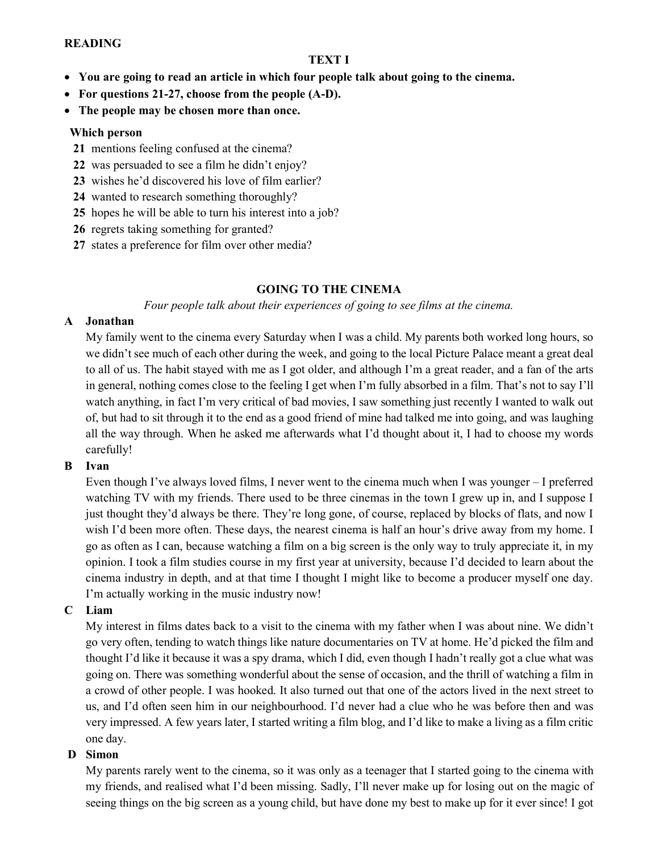#### READING

#### TEXT I

- You are going to read an article in which four people talk about going to the cinema.
- For questions 21-27, choose from the people (A-D).
- The people may be chosen more than once.

#### Which person

- 21 mentions feeling confused at the cinema?
- 22 was persuaded to see a film he didn't enjoy?
- 23 wishes he'd discovered his love of film earlier?
- 24 wanted to research something thoroughly?
- 25 hopes he will be able to turn his interest into a job?
- 26 regrets taking something for granted?
- 27 states a preference for film over other media?

## GOING TO THE CINEMA

Four people talk about their experiences of going to see films at the cinema.

#### A Jonathan

My family went to the cinema every Saturday when I was a child. My parents both worked long hours, so we didn't see much of each other during the week, and going to the local Picture Palace meant a great deal to all of us. The habit stayed with me as I got older, and although I'm a great reader, and a fan of the arts in general, nothing comes close to the feeling I get when I'm fully absorbed in a film. That's not to say I'll watch anything, in fact I'm very critical of bad movies, I saw something just recently I wanted to walk out of, but had to sit through it to the end as a good friend of mine had talked me into going, and was laughing all the way through. When he asked me afterwards what I'd thought about it, I had to choose my words carefully!

#### B Ivan

Even though I've always loved films, I never went to the cinema much when I was younger – I preferred watching TV with my friends. There used to be three cinemas in the town I grew up in, and I suppose I just thought they'd always be there. They're long gone, of course, replaced by blocks of flats, and now I wish I'd been more often. These days, the nearest cinema is half an hour's drive away from my home. I go as often as I can, because watching a film on a big screen is the only way to truly appreciate it, in my opinion. I took a film studies course in my first year at university, because I'd decided to learn about the cinema industry in depth, and at that time I thought I might like to become a producer myself one day. I'm actually working in the music industry now!

#### C Liam

My interest in films dates back to a visit to the cinema with my father when I was about nine. We didn't go very often, tending to watch things like nature documentaries on TV at home. He'd picked the film and thought I'd like it because it was a spy drama, which I did, even though I hadn't really got a clue what was going on. There was something wonderful about the sense of occasion, and the thrill of watching a film in a crowd of other people. I was hooked. It also turned out that one of the actors lived in the next street to us, and I'd often seen him in our neighbourhood. I'd never had a clue who he was before then and was very impressed. A few years later, I started writing a film blog, and I'd like to make a living as a film critic one day.

#### D Simon

My parents rarely went to the cinema, so it was only as a teenager that I started going to the cinema with my friends, and realised what I'd been missing. Sadly, I'll never make up for losing out on the magic of seeing things on the big screen as a young child, but have done my best to make up for it ever since! I got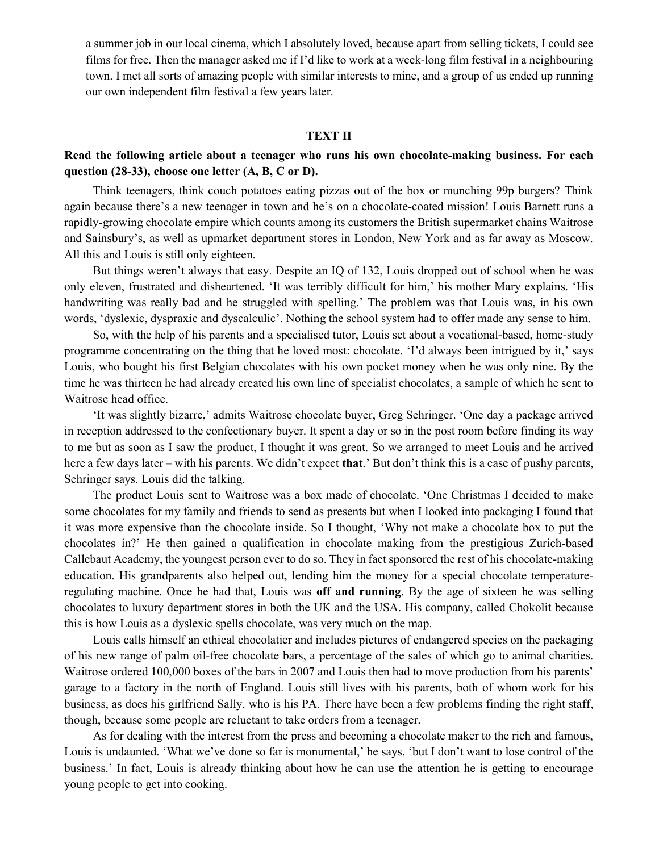a summer job in our local cinema, which I absolutely loved, because apart from selling tickets, I could see films for free. Then the manager asked me if I'd like to work at a week-long film festival in a neighbouring town. I met all sorts of amazing people with similar interests to mine, and a group of us ended up running our own independent film festival a few years later.

#### TEXT II

## Read the following article about a teenager who runs his own chocolate-making business. For each question (28-33), choose one letter (А, В, С or D).

Think teenagers, think couch potatoes eating pizzas out of the box or munching 99p burgers? Think again because there's a new teenager in town and he's on a chocolate-coated mission! Louis Barnett runs a rapidly-growing chocolate empire which counts among its customers the British supermarket chains Waitrose and Sainsbury's, as well as upmarket department stores in London, New York and as far away as Moscow. All this and Louis is still only eighteen.

But things weren't always that easy. Despite an IQ of 132, Louis dropped out of school when he was only eleven, frustrated and disheartened. 'It was terribly difficult for him,' his mother Mary explains. 'His handwriting was really bad and he struggled with spelling.' The problem was that Louis was, in his own words, 'dyslexic, dyspraxic and dyscalculic'. Nothing the school system had to offer made any sense to him.

So, with the help of his parents and a specialised tutor, Louis set about a vocational-based, home-study programme concentrating on the thing that he loved most: chocolate. 'I'd always been intrigued by it,' says Louis, who bought his first Belgian chocolates with his own pocket money when he was only nine. By the time he was thirteen he had already created his own line of specialist chocolates, a sample of which he sent to Waitrose head office.

'It was slightly bizarre,' admits Waitrose chocolate buyer, Greg Sehringer. 'One day a package arrived in reception addressed to the confectionary buyer. It spent a day or so in the post room before finding its way to me but as soon as I saw the product, I thought it was great. So we arranged to meet Louis and he arrived here a few days later – with his parents. We didn't expect **that**.' But don't think this is a case of pushy parents, Sehringer says. Louis did the talking.

The product Louis sent to Waitrose was a box made of chocolate. 'One Christmas I decided to make some chocolates for my family and friends to send as presents but when I looked into packaging I found that it was more expensive than the chocolate inside. So I thought, 'Why not make a chocolate box to put the chocolates in?' He then gained a qualification in chocolate making from the prestigious Zurich-based Callebaut Academy, the youngest person ever to do so. They in fact sponsored the rest of his chocolate-making education. His grandparents also helped out, lending him the money for a special chocolate temperatureregulating machine. Once he had that, Louis was off and running. By the age of sixteen he was selling chocolates to luxury department stores in both the UK and the USA. His company, called Chokolit because this is how Louis as a dyslexic spells chocolate, was very much on the map.

Louis calls himself an ethical chocolatier and includes pictures of endangered species on the packaging of his new range of palm oil-free chocolate bars, a percentage of the sales of which go to animal charities. Waitrose ordered 100,000 boxes of the bars in 2007 and Louis then had to move production from his parents' garage to a factory in the north of England. Louis still lives with his parents, both of whom work for his business, as does his girlfriend Sally, who is his PA. There have been a few problems finding the right staff, though, because some people are reluctant to take orders from a teenager.

As for dealing with the interest from the press and becoming a chocolate maker to the rich and famous, Louis is undaunted. 'What we've done so far is monumental,' he says, 'but I don't want to lose control of the business.' In fact, Louis is already thinking about how he can use the attention he is getting to encourage young people to get into cooking.